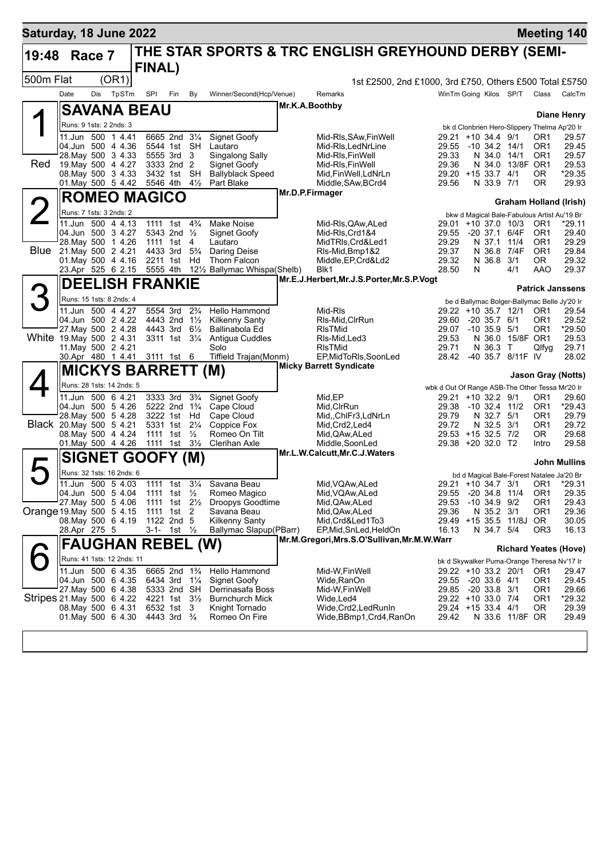| Saturday, 18 June 2022     |                           |     |                                                |               |                                        |                                                                             |                                            |                                                                                         |                                                         |                                                                       |  |                   |                                   |                                    | <b>Meeting 140</b>                                                         |  |
|----------------------------|---------------------------|-----|------------------------------------------------|---------------|----------------------------------------|-----------------------------------------------------------------------------|--------------------------------------------|-----------------------------------------------------------------------------------------|---------------------------------------------------------|-----------------------------------------------------------------------|--|-------------------|-----------------------------------|------------------------------------|----------------------------------------------------------------------------|--|
| 19:48                      | Race 7                    |     |                                                | <b>FINAL)</b> |                                        |                                                                             |                                            |                                                                                         | THE STAR SPORTS & TRC ENGLISH GREYHOUND DERBY (SEMI-    |                                                                       |  |                   |                                   |                                    |                                                                            |  |
| 500m Flat                  |                           |     | (OR1)                                          |               |                                        |                                                                             |                                            |                                                                                         | 1st £2500, 2nd £1000, 3rd £750, Others £500 Total £5750 |                                                                       |  |                   |                                   |                                    |                                                                            |  |
|                            | Date                      | Dis | TpSTm                                          | <b>SPI</b>    | Fin                                    | By                                                                          | Winner/Second(Hcp/Venue)                   |                                                                                         | Remarks                                                 | WinTm Going Kilos SP/T                                                |  |                   |                                   | Class                              | CalcTm                                                                     |  |
|                            |                           |     | <b>SAVANA BEAU</b>                             |               |                                        |                                                                             |                                            |                                                                                         | Mr.K.A.Boothby                                          |                                                                       |  |                   |                                   |                                    |                                                                            |  |
| Δ                          | Runs: 9 1sts: 2 2nds: 3   |     |                                                |               |                                        |                                                                             |                                            |                                                                                         |                                                         |                                                                       |  |                   |                                   |                                    | <b>Diane Henry</b>                                                         |  |
|                            |                           |     | 11.Jun 500 1 4.41                              |               | 6665 2nd 31/4                          |                                                                             | <b>Signet Goofy</b>                        |                                                                                         | Mid-RIs, SAw, Fin Well                                  | 29.21 +10 34.4 9/1                                                    |  |                   |                                   | OR1                                | bk d Clonbrien Hero-Slippery Thelma Ap'20 Ir<br>29.57                      |  |
|                            |                           |     | 04.Jun 500 4 4.36                              |               | 5544 1st SH                            |                                                                             | Lautaro                                    |                                                                                         | Mid-RIs.LedNrLine                                       | 29.55                                                                 |  | $-10$ 34.2 $14/1$ |                                   | OR <sub>1</sub>                    | 29.45                                                                      |  |
| Red                        |                           |     | 28. May 500 3 4.33<br>19. May 500 4 4.27       |               | 5555 3rd 3<br>3333 2nd 2               |                                                                             | Singalong Sally<br>Signet Goofy            |                                                                                         | Mid-RIs, FinWell<br>Mid-Ris,FinWell                     | 29.33<br>29.36                                                        |  | N 34.0 14/1       | N 34.0 13/8F OR1                  | OR <sub>1</sub>                    | 29.57<br>29.53                                                             |  |
|                            |                           |     | 08. May 500 3 4.33                             |               | 3432 1st                               | <b>SH</b>                                                                   | <b>Ballyblack Speed</b>                    |                                                                                         | Mid,FinWell,LdNrLn                                      | 29.20 +15 33.7 4/1                                                    |  |                   |                                   | OR.                                | *29.35                                                                     |  |
|                            |                           |     | 01. May 500 5 4.42                             |               | 5546 4th                               | $4\frac{1}{2}$                                                              | Part Blake                                 |                                                                                         | Middle, SAw, BCrd4                                      | 29.56                                                                 |  | N 33.9 7/1        |                                   | 0R                                 | 29.93                                                                      |  |
|                            | <b>ROMEO MAGICO</b>       |     |                                                |               |                                        |                                                                             |                                            | Mr.D.P.Firmager<br>Graham Holland (Irish)                                               |                                                         |                                                                       |  |                   |                                   |                                    |                                                                            |  |
|                            | Runs: 7 1sts: 3 2nds: 2   |     |                                                |               |                                        |                                                                             |                                            | bkw d Magical Bale-Fabulous Artist Au'19 Br                                             |                                                         |                                                                       |  |                   |                                   |                                    |                                                                            |  |
|                            |                           |     | 11.Jun 500 4 4.13                              |               | 1111 1st 4 <sup>3</sup> / <sub>4</sub> |                                                                             | <b>Make Noise</b>                          |                                                                                         | Mid-RIs, QAw, ALed                                      | 29.01 +10 37.0 10/3                                                   |  |                   |                                   | OR1                                | *29.11                                                                     |  |
|                            |                           |     | 04.Jun 500 3 4.27<br>28. May 500 1 4.26        |               | 5343 2nd $\frac{1}{2}$<br>1111 1st 4   |                                                                             | Signet Goofy<br>Lautaro                    |                                                                                         | Mid-RIs, Crd1&4<br>MidTRIs, Crd&Led1                    | 29.55<br>29.29                                                        |  | N 37.1 11/4       | -20 37.1 6/4F                     | OR <sub>1</sub><br>OR <sub>1</sub> | 29.40<br>29.29                                                             |  |
| <b>Blue</b>                |                           |     | 21.May 500 2 4.21                              |               | 4433 3rd 5 <sup>3</sup> / <sub>4</sub> |                                                                             | Daring Deise                               |                                                                                         | RIs-Mid, Bmp1&2                                         | 29.37                                                                 |  | N 36.8            | 7/4F                              | OR <sub>1</sub>                    | 29.84                                                                      |  |
|                            |                           |     | 01. May 500 4 4.16                             |               | 2211 1st Hd                            |                                                                             | Thorn Falcon                               |                                                                                         | Middle, EP, Crd&Ld2                                     | 29.32                                                                 |  | N 36.8            | 3/1                               | OR.                                | 29.32                                                                      |  |
|                            |                           |     | 23.Apr 525 6 2.15                              |               | 5555 4th                               |                                                                             | 12½ Ballymac Whispa(Shelb)                 | 28.50<br>N<br>29.37<br>Blk1<br>4/1<br>AAO<br>Mr.E.J.Herbert, Mr.J.S.Porter, Mr.S.P.Vogt |                                                         |                                                                       |  |                   |                                   |                                    |                                                                            |  |
|                            |                           |     | <b>DEELISH FRANKIE</b>                         |               |                                        |                                                                             |                                            | <b>Patrick Janssens</b>                                                                 |                                                         |                                                                       |  |                   |                                   |                                    |                                                                            |  |
|                            |                           |     | Runs: 15 1sts: 8 2nds: 4                       |               |                                        |                                                                             |                                            |                                                                                         |                                                         |                                                                       |  |                   |                                   |                                    | be d Ballymac Bolger-Ballymac Belle Jy'20 Ir                               |  |
|                            |                           |     | 11.Jun 500 4 4.27<br>04.Jun 500 2 4.22         |               | 5554 3rd<br>4443 2nd 11/2              | $2\frac{3}{4}$                                                              | Hello Hammond                              |                                                                                         | Mid-RIs<br>RIs-Mid, CIrRun                              | 29.22 +10 35.7 12/1<br>29.60                                          |  | $-20$ 35.7 $6/1$  |                                   | OR <sub>1</sub><br>OR <sub>1</sub> | 29.54                                                                      |  |
|                            |                           |     | 27. May 500 2 4.28                             |               | 4443 3rd                               | $6\frac{1}{2}$                                                              | <b>Kilkenny Santy</b><br>Ballinabola Ed    |                                                                                         | <b>RIsTMid</b>                                          | 29.07                                                                 |  | $-10, 35.9$       | 5/1                               | OR <sub>1</sub>                    | 29.52<br>*29.50                                                            |  |
| White 19. May 500 2 4.31   |                           |     |                                                |               | 3311 1st 31/4                          |                                                                             | Antigua Cuddles                            |                                                                                         | RIs-Mid, Led 3                                          | 29.53                                                                 |  |                   | N 36.0 15/8F OR1                  |                                    | 29.53                                                                      |  |
|                            | 11. May 500 2 4.21        |     | 30.Apr 480 1 4.41                              | 3111 1st 6    |                                        |                                                                             | Solo<br>Tiffield Trajan(Monm)              |                                                                                         | <b>RIsTMid</b><br>EP, MidToRIs, SoonLed                 | 29.71<br>28.42                                                        |  | N 36.3            | $\mathsf{T}$<br>-40 35.7 8/11F IV | Qlfyg                              | 29.71<br>28.02                                                             |  |
|                            |                           |     |                                                |               |                                        |                                                                             |                                            |                                                                                         | <b>Micky Barrett Syndicate</b>                          |                                                                       |  |                   |                                   |                                    |                                                                            |  |
|                            | <b>MICKYS BARRETT (M)</b> |     |                                                |               |                                        |                                                                             |                                            | <b>Jason Gray (Notts)</b>                                                               |                                                         |                                                                       |  |                   |                                   |                                    |                                                                            |  |
|                            |                           |     | Runs: 28 1sts: 14 2nds: 5<br>11.Jun 500 6 4.21 |               | 3333 3rd                               | $3\frac{3}{4}$                                                              | Signet Goofy                               |                                                                                         | Mid, EP                                                 | wbk d Out Of Range ASB-The Other Tessa Mr'20 Ir<br>29.21 +10 32.2 9/1 |  |                   |                                   |                                    | 29.60                                                                      |  |
|                            |                           |     | 04.Jun 500 5 4.26                              |               | 5222 2nd 1 <sup>3</sup> / <sub>4</sub> |                                                                             | Cape Cloud                                 |                                                                                         | Mid, CIrRun                                             | 29.38                                                                 |  |                   | -10 32.4 11/2                     | OR1<br>OR <sub>1</sub>             | *29.43                                                                     |  |
|                            |                           |     | 28. May 500 5 4.28                             |               | 3222 1st Hd                            |                                                                             | Cape Cloud                                 |                                                                                         | Mid,,ChlFr3,LdNrLn                                      | 29.79                                                                 |  | N 32.7 5/1        |                                   | OR <sub>1</sub>                    | 29.79                                                                      |  |
| Black 20. May 500 5 4.21   |                           |     | 08. May 500 4 4.24                             |               | 5331 1st 21/4<br>1111 1st              | $\frac{1}{2}$                                                               | Coppice Fox<br>Romeo On Tilt               |                                                                                         | Mid,Crd2,Led4<br>Mid,QAw,ALed                           | 29.72<br>29.53 +15 32.5 7/2                                           |  | N 32.5 3/1        |                                   | OR <sub>1</sub><br>OR.             | 29.72<br>29.68                                                             |  |
|                            |                           |     | 01. May 500 4 4.26                             |               | 1111 1st                               | $3\frac{1}{2}$                                                              | Clerihan Axle                              |                                                                                         | Middle, SoonLed                                         | 29.38 +20 32.0 T2                                                     |  |                   |                                   | Intro                              | 29.58                                                                      |  |
|                            |                           |     | SIGNET GOOFY (M)                               |               |                                        |                                                                             |                                            |                                                                                         | Mr.L.W.Calcutt, Mr.C.J.Waters                           |                                                                       |  |                   |                                   |                                    |                                                                            |  |
|                            |                           |     | Runs: 32 1sts: 16 2nds: 6                      |               |                                        |                                                                             |                                            |                                                                                         |                                                         |                                                                       |  |                   |                                   |                                    | <b>John Mullins</b>                                                        |  |
|                            |                           |     | 11.Jun 500 5 4.03                              |               |                                        |                                                                             | 1111 1st 31/4 Savana Beau                  |                                                                                         | Mid, VQAw, ALed                                         |                                                                       |  |                   |                                   |                                    | bd d Magical Bale-Forest Natalee Ja'20 Br<br>29.21 +10 34.7 3/1 OR1 *29.31 |  |
|                            |                           |     | 04.Jun 500 5 4.04                              |               | 1111 1st $\frac{1}{2}$                 |                                                                             | Romeo Magico                               |                                                                                         | Mid, VQAw, ALed                                         | 29.55 -20 34.8 11/4                                                   |  |                   |                                   | OR <sub>1</sub>                    | 29.35                                                                      |  |
|                            |                           |     | 27 May 500 5 4.06                              |               | 1111 1st 21/ <sub>2</sub>              |                                                                             | Droopys Goodtime<br>Savana Beau            |                                                                                         | Mid, QAw, ALed                                          | 29.53<br>29.36                                                        |  | $-10$ 34.9 $9/2$  |                                   | OR1<br>OR <sub>1</sub>             | 29.43<br>29.36                                                             |  |
| Orange 19. May 500 5 4.15  |                           |     | 08. May 500 6 4.19                             |               | 1111 1st 2<br>1122 2nd 5               |                                                                             | <b>Kilkenny Santy</b>                      |                                                                                         | Mid, QAw, ALed<br>Mid.Crd&Led1To3                       |                                                                       |  | N 35.2 3/1        | 29.49 +15 35.5 11/8J              | OR.                                | 30.05                                                                      |  |
|                            | 28.Apr 275 5              |     |                                                |               | 3-1- 1st $\frac{1}{2}$                 |                                                                             | Ballymac Slapup(PBarr)                     |                                                                                         | EP, Mid, SnLed, HeldOn                                  | 16.13                                                                 |  | N 34.7 5/4        |                                   | OR <sub>3</sub>                    | 16.13                                                                      |  |
|                            | <b>FAUGHAN REBEL (W)</b>  |     |                                                |               |                                        | Mr.M.Gregori, Mrs.S.O'Sullivan, Mr.M.W.Warr<br><b>Richard Yeates (Hove)</b> |                                            |                                                                                         |                                                         |                                                                       |  |                   |                                   |                                    |                                                                            |  |
|                            |                           |     | Runs: 41 1sts: 12 2nds: 11                     |               |                                        |                                                                             |                                            |                                                                                         |                                                         |                                                                       |  |                   |                                   |                                    | bk d Skywalker Puma-Orange Theresa Nv'17 Ir                                |  |
|                            |                           |     | 11.Jun 500 6 4.35                              |               | 6665 2nd 13/4                          |                                                                             | Hello Hammond                              |                                                                                         | Mid-W.FinWell                                           | 29.22 +10 33.2 20/1                                                   |  |                   |                                   | OR1                                | 29.47                                                                      |  |
|                            |                           |     | 04.Jun 500 6 4.35                              |               | 6434 3rd 11/4                          |                                                                             | Signet Goofy                               |                                                                                         | Wide,RanOn                                              | 29.55 -20 33.6 4/1                                                    |  |                   |                                   | OR <sub>1</sub>                    | 29.45                                                                      |  |
| Stripes 21. May 500 6 4.22 |                           |     | 27 May 500 6 4.38                              |               | 5333 2nd SH<br>4221 1st 3½             |                                                                             | Derrinasafa Boss<br><b>Burnchurch Mick</b> |                                                                                         | Mid-W, Fin Well<br>Wide,Led4                            | 29.85 -20 33.8 3/1<br>29.22 +10 33.0 7/4                              |  |                   |                                   | OR1<br>OR1                         | 29.66<br>*29.32                                                            |  |
|                            |                           |     | 08. May 500 6 4.31                             |               | 6532 1st                               | 3                                                                           | Knight Tornado                             |                                                                                         | Wide, Crd2, Led RunIn                                   | 29.24 +15 33.4 4/1                                                    |  |                   |                                   | 0R                                 | 29.39                                                                      |  |
|                            |                           |     | 01.May 500 6 4.30                              |               | 4443 3rd <sup>3</sup> / <sub>4</sub>   |                                                                             | Romeo On Fire                              |                                                                                         | Wide,BBmp1,Crd4,RanOn                                   | 29.42                                                                 |  |                   | N 33.6 11/8F OR                   |                                    | 29.49                                                                      |  |
|                            |                           |     |                                                |               |                                        |                                                                             |                                            |                                                                                         |                                                         |                                                                       |  |                   |                                   |                                    |                                                                            |  |
|                            |                           |     |                                                |               |                                        |                                                                             |                                            |                                                                                         |                                                         |                                                                       |  |                   |                                   |                                    |                                                                            |  |